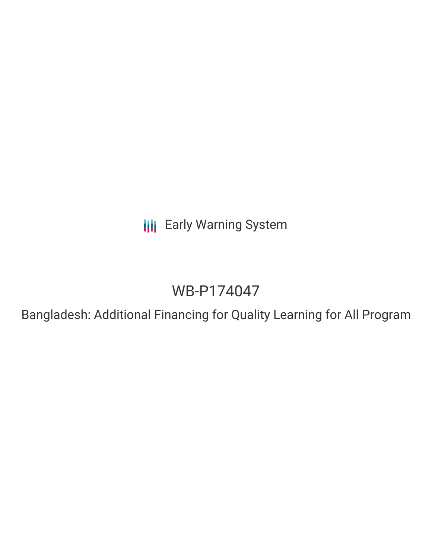**III** Early Warning System

# WB-P174047

Bangladesh: Additional Financing for Quality Learning for All Program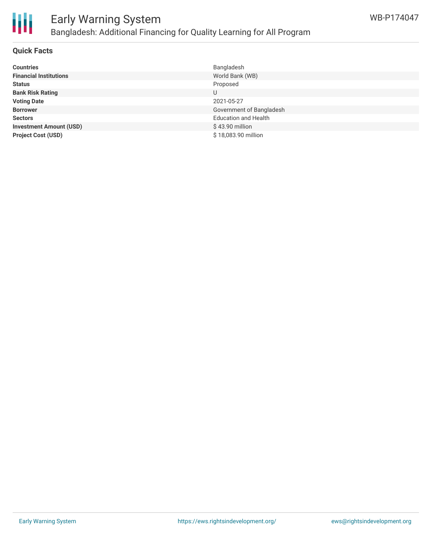

### **Quick Facts**

| <b>Countries</b>               | Bangladesh                  |
|--------------------------------|-----------------------------|
| <b>Financial Institutions</b>  | World Bank (WB)             |
| <b>Status</b>                  | Proposed                    |
| <b>Bank Risk Rating</b>        |                             |
| <b>Voting Date</b>             | 2021-05-27                  |
| <b>Borrower</b>                | Government of Bangladesh    |
| <b>Sectors</b>                 | <b>Education and Health</b> |
| <b>Investment Amount (USD)</b> | \$43.90 million             |
| <b>Project Cost (USD)</b>      | \$18,083.90 million         |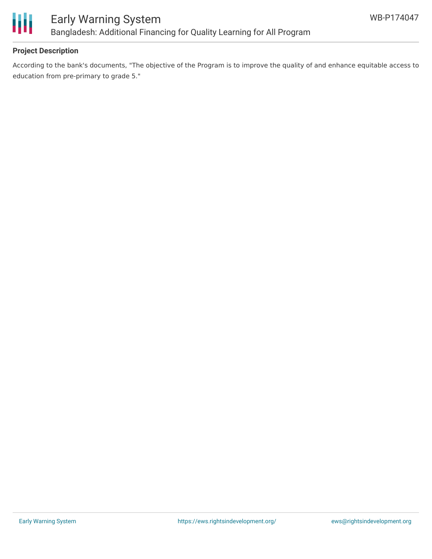

# **Project Description**

According to the bank's documents, "The objective of the Program is to improve the quality of and enhance equitable access to education from pre-primary to grade 5."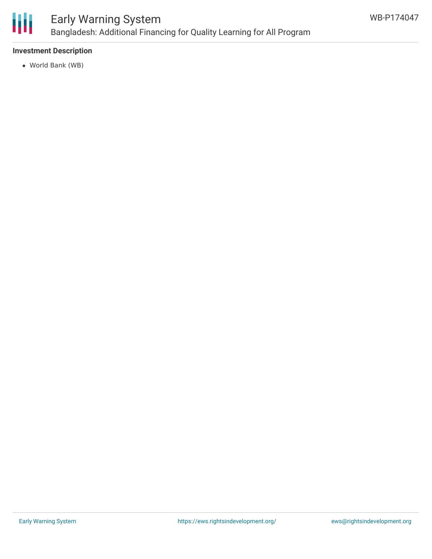

# **Investment Description**

World Bank (WB)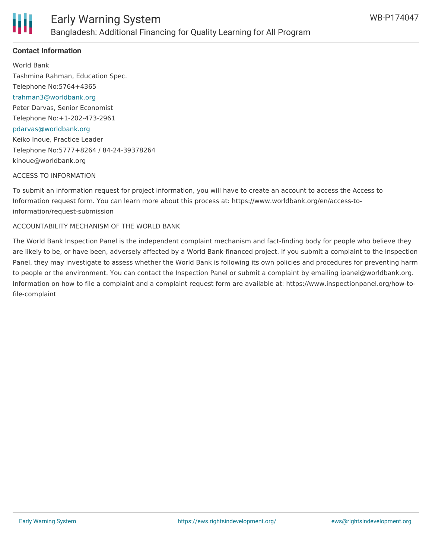

# **Contact Information**

World Bank Tashmina Rahman, Education Spec. Telephone No:5764+4365 [trahman3@worldbank.org](mailto:trahman3@worldbank.org) Peter Darvas, Senior Economist Telephone No:+1-202-473-2961 [pdarvas@worldbank.org](mailto:pdarvas@worldbank.org) Keiko Inoue, Practice Leader Telephone No:5777+8264 / 84-24-39378264 kinoue@worldbank.org

#### ACCESS TO INFORMATION

To submit an information request for project information, you will have to create an account to access the Access to Information request form. You can learn more about this process at: https://www.worldbank.org/en/access-toinformation/request-submission

#### ACCOUNTABILITY MECHANISM OF THE WORLD BANK

The World Bank Inspection Panel is the independent complaint mechanism and fact-finding body for people who believe they are likely to be, or have been, adversely affected by a World Bank-financed project. If you submit a complaint to the Inspection Panel, they may investigate to assess whether the World Bank is following its own policies and procedures for preventing harm to people or the environment. You can contact the Inspection Panel or submit a complaint by emailing ipanel@worldbank.org. Information on how to file a complaint and a complaint request form are available at: https://www.inspectionpanel.org/how-tofile-complaint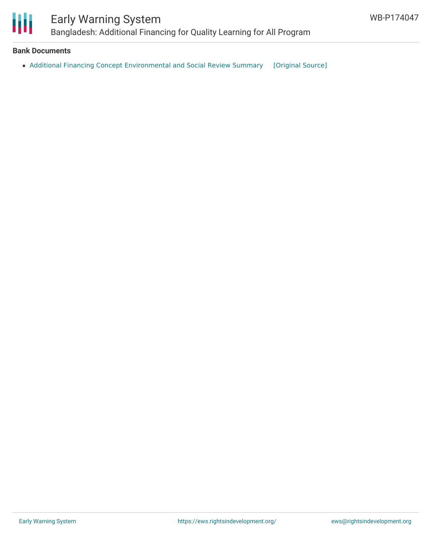

### **Bank Documents**

• Additional Financing Concept [Environmental](https://ewsdata.rightsindevelopment.org/files/documents/47/WB-P174047.pdf) and Social Review Summary [\[Original](http://documents1.worldbank.org/curated/en/288501596742401225/pdf/Concept-Additional-Financing-Environmental-and-Social-Review-Summary-ESRS-Bangladesh-Additional-Financing-for-Quality-Learning-for-All) Source]